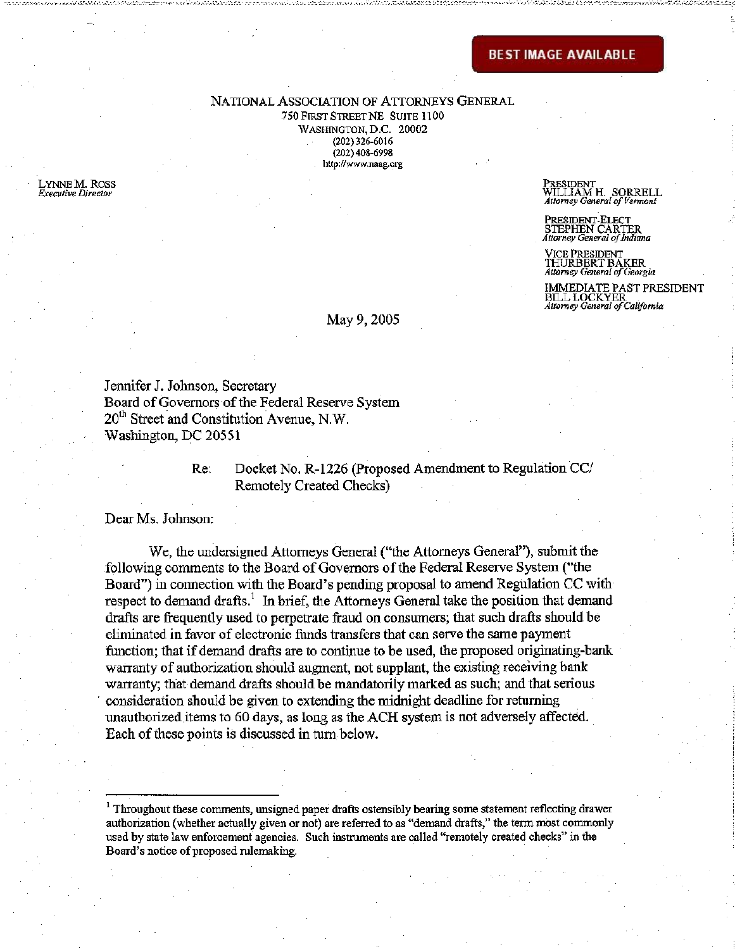NATIONAL ASSOCIATION OF ATTORNEYS GENERAL 750 FIRST STREET NE SUITE 1100

WASHINGTON, D.C. 20002 (202)326-6016 (202) 408-6998 <http://www.naag.org>

LYNNE M.ROSS *Executive Director* 

PRESIDENT<br>WILLIAM H., SORRELL<br>Atterne Guerra Compact *Attorney General of Vermont* 

PRESIDENT-ELECT STEPHEN CARTER *Attorney General of Indiana* 

VICE PRESIDENT<br>THURBERT BAKER *Attorney General of Georgia* 

IMMEDIATE PAST PRESIDENT BILL LOCKYER *Attorney General of California* 

### May 9, 2005

Jennifer J. Johnson, Secretary Board of Governors of the Federal Reserve System 20<sup>th</sup> Street and Constitution Avenue, N.W. Washington, DC 20551

## Re: Docket No. R-1226 (Proposed Amendment to Regulation CC/ Remotely Created Checks)

Dear Ms. Johnson:

We, the undersigned Attorneys General ("the Attorneys General"), submit the following comments to the Board of Governors of the Federal Reserve System ("the Board") in connection with the Board's pending proposal to amend Regulation CC with respect to demand drafts.<sup>1</sup> In brief, the Attorneys General take the position that demand drafts are frequently used to perpetrate fraud on consumers; that such drafts should be eliminated in favor of electronic funds transfers that can serve the same payment function; that if demand drafts are to continue to be used, the proposed originating-bank warranty of authorization should augment, not supplant, the existing receiving bank warranty; that demand drafts should be mandatorily marked as such; and that serious ' consideration should be given to extending the midnight deadline for returning unauthorized items to 60 days, as long as the ACH system is not adversely affected. Each of these points is discussed in turn below.

 $<sup>1</sup>$  Throughout these comments, unsigned paper drafts ostensibly bearing some statement reflecting drawer</sup> authorization (whether actually given or not) are referred to as "demand drafts," the term most commonly used by state law enforcement agencies. Such instruments are called "remotely created checks" in the Board's notice of proposed rulemaking.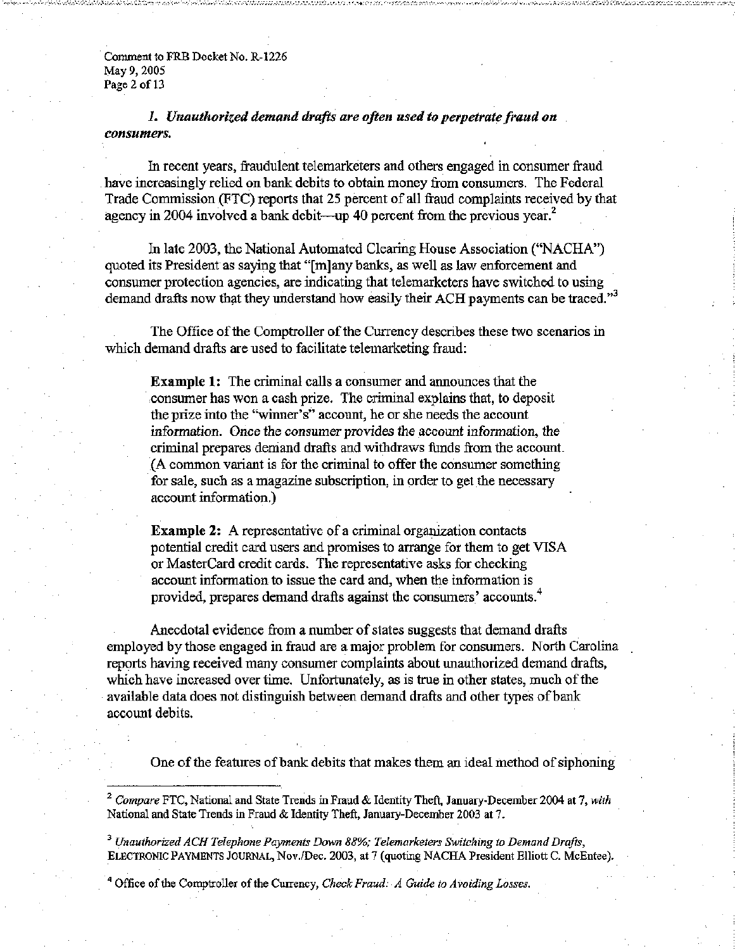Comment to FRB Docket No. R-1226 May 9, 2005 Page 2 of 13

*1. Unauthorized demand drafts are often used to perpetrate fraud on consumers.* 

In recent years, fraudulent telemarketers and others engaged in consumer fraud have increasingly relied on bank debits to obtain money from consumers. The Federal Trade Commission (FTC) reports that 25 percent of all fraud complaints received by that agency in 2004 involved a bank debit—up 40 percent from the previous year.<sup>2</sup>

In late 2003, the National Automated Clearing House Association ("NACHA") quoted its President as saying that "[m]any banks, as well as law enforcement and consumer protection agencies, are indicating that telemarketers have switched to using demand drafts now that they understand how easily their ACH payments can be traced."<sup>3</sup>

The Office of the Comptroller of the Currency describes these two scenarios in which demand drafts are used to facilitate telemarketing fraud:

Example 1: The criminal calls a consumer and announces that the consumer has won a cash prize. The criminal explains that, to deposit the prize into the "winner's" account, he or she needs the account information. Once the consumer provides the account information, the criminal prepares demand drafts and withdraws funds from the account. (A common variant is for the criminal to offer the consumer something for sale, such as a magazine subscription, in order to get the necessary account information.)

Example 2: A representative of a criminal organization contacts potential credit card users and promises to arrange for them to get VISA or MasterCard credit cards. The representative asks for checking account information to issue the card and, when the information is provided, prepares demand drafts against the consumers' accounts. $\ddot{\,}$ 

Anecdotal evidence from a number of states suggests that demand drafts employed by those engaged in fraud are a major problem for consumers. North Carolina reports having received many consumer complaints about unauthorized demand drafts, which have increased over time. Unfortunately, as is true in other states, much of the available data does not distinguish between demand drafts and other types of bank account debits.

One of the features of bank debits that makes them an ideal method of siphoning

<sup>2</sup> Compare FTC, National and State Trends in Fraud & Identity Theft, January-December 2004 at 7, with National and State Trends in Fraud & Identity Theft, January-December 2003 at 7.

<sup>3</sup> Unauthorized ACH Telephone Payments Down 88%; Telemarketers Switching to Demand Drafts, ELECTRONIC PAYMENTS JOURNAL, Nov./Dec. 2003, at 7 (quoting NACHA President Elliott C. McEntee).

<sup>4</sup> Office of the Comptroller of the Currency, *Check Fraud: A Guide to Avoiding Losses.*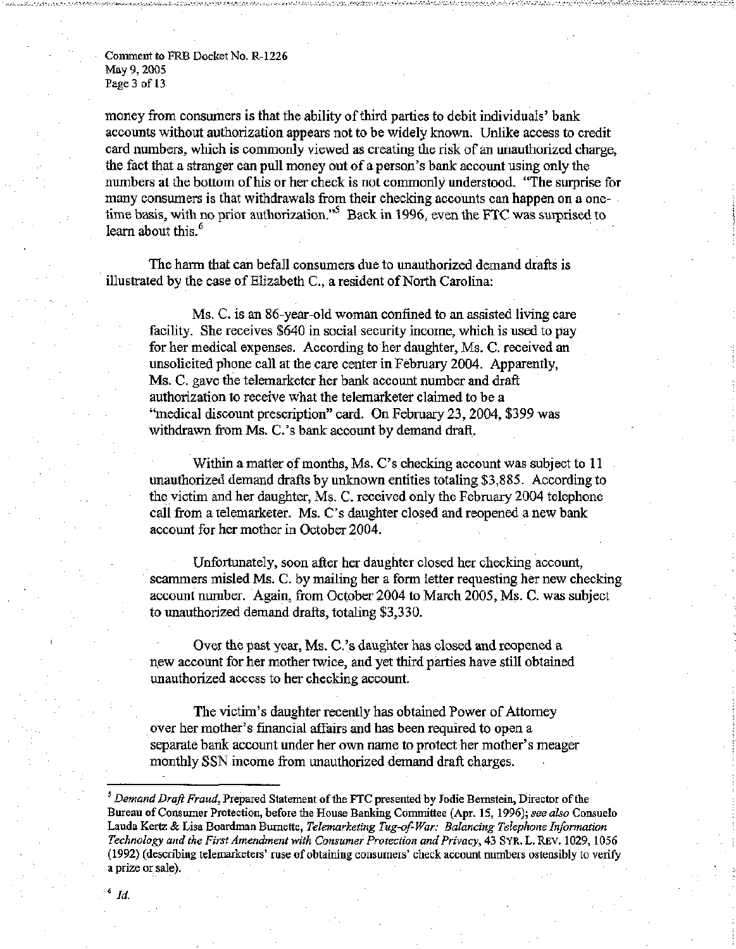Comment to FRB Docket No. R-1226 May 9, 2005 Page 3 of 13

money from consumers is that the ability of third parties to debit individuals' bank accounts without authorization appears not to be widely known. Unlike access to credit card numbers, which is commonly viewed as creating the risk of an unauthorized charge, the fact that a stranger can pull money out of a person's bank account using only the numbers at the bottom of his or her check is not commonly understood. "The surprise for many consumers is that withdrawals from their checking accounts can happen on a onetime basis, with no prior authorization."<sup>5</sup> Back in 1996, even the FTC was surprised to learn about this. $<sup>6</sup>$ </sup>

The harm that can befall consumers due to unauthorized demand drafts is illustrated by the case of Elizabeth C, a resident of North Carolina:

Ms. C. is an 86-year-old woman confined to an assisted living care facility. She receives \$640 in social security income, which is used to pay for her medical expenses. According to her daughter, Ms. C. received an unsolicited phone call at the care center in February 2004. Apparently, Ms. C. gave the telemarketer her bank account number and draft authorization to receive what the telemarketer claimed to be a "medical discount prescription" card. On February 23, 2004, \$399 was withdrawn from Ms. C.'s bank account by demand draft,

Within a matter of months, Ms. C's checking account was subject to 11 unauthorized demand drafts by unknown entities totaling \$3,885. According to the victim and her daughter, Ms. C. received only the February 2004 telephone call from a telemarketer. Ms. C's daughter closed and reopened a new bank account for her mother in October 2004.

Unfortunately, soon after her daughter closed her checking account, scammers misled Ms. C. by mailing her a form letter requesting her new checking account number. Again, from October 2004 to March 2005, Ms. C. was subject to unauthorized demand drafts, totaling \$3,330.

Over the past year, Ms. C.'s daughter has closed and reopened a new account for her mother twice, and yet third parties have still obtained unauthorized access to her checking account.

The victim's daughter recently has obtained Power of Attorney over her mother's financial affairs and has been required to open a separate bank account under her own name to protect her mother's meager monthly SSN income from unauthorized demand draft charges.

<sup>&</sup>lt;sup>5</sup> Demand Draft Fraud, Prepared Statement of the FTC presented by Jodie Bernstein, Director of the Bureau of Consumer Protection, before the House Banking Committee (Apr. 15, 1996); *see also* Consuelo Lauda Kertz & Lisa Boardman Burnette, *Telemarketing Tug-of-War: Balancing Telephone Information Technology and the First Amendment with Consumer Protection and Privacy,* 43 SYR. L. REV. 1029, 1056 (1992) (describing telemarketers' ruse of obtaining consumers' check account numbers ostensibly to verify a prize or sale).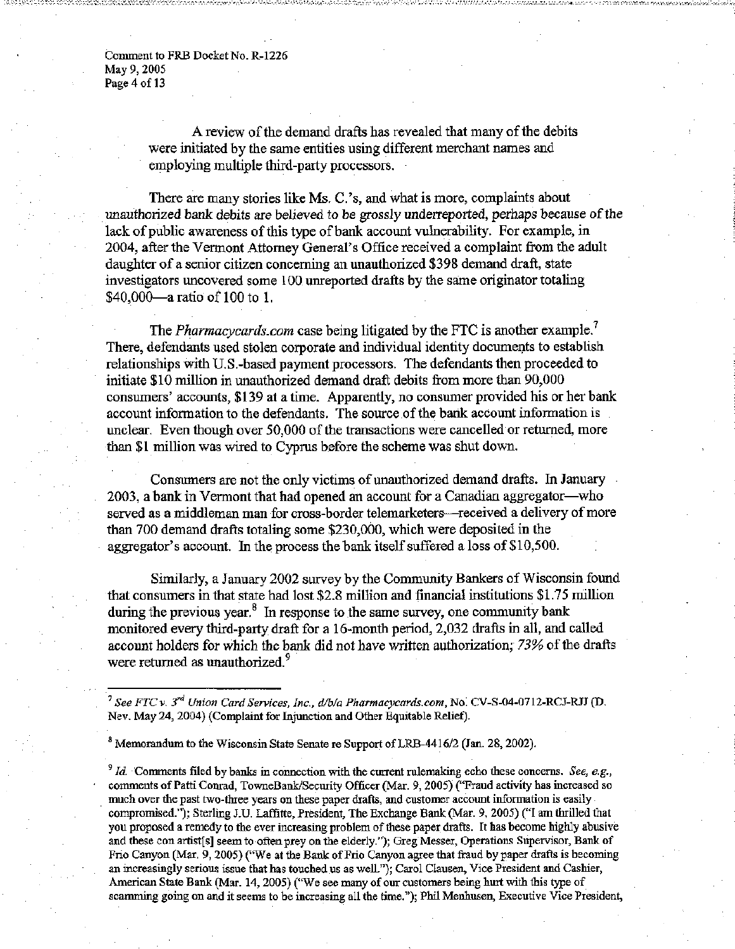Comment to FRB Docket No. R-1226 May 9, 2005 Page 4 of 13

> A review of the demand drafts has revealed that many of the debits were initiated by the same entities using different merchant names and employing multiple third-party processors.

There are many stories like Ms. C.'s, and what is more, complaints about unauthorized bank debits are believed to be grossly underreported, perhaps because of the lack of public awareness of this type of bank account vulnerability. For example, in 2004, after the Vermont Attorney General's Office received a complaint from the adult daughter of a senior citizen concerning an unauthorized \$398 demand draft, state investigators uncovered some 100 unreported drafts by the same originator totaling \$40,000—a ratio of 100 to 1.

The *<Pharmacycards.com>* case being litigated by the FTC is another example.<sup>7</sup> There, defendants used stolen corporate and individual identity documents to establish relationships with U.S.-based payment processors. The defendants then proceeded to initiate \$10 million in unauthorized demand draft debits from more than 90,000 consumers' accounts, \$139 at a time. Apparently, no consumer provided his or her bank account information to the defendants. The source of the bank account information is unclear. Even though over 50,000 of the transactions were cancelled or returned, more than \$1 million was wired to Cyprus before the scheme was shut down.

Consumers are not the only victims of unauthorized demand drafts. In January 2003, a bank in Vermont that had opened an account for a Canadian aggregator—who served as a middleman man for cross-border telemarketers—received a delivery of more than 700 demand drafts totaling some \$230,000, which were deposited in the aggregator's account. In the process the bank itself suffered a loss of \$10,500.

Similarly, a January 2002 survey by the Community Bankers of Wisconsin found that consumers in that state had lost \$2.8 million and financial institutions \$1.75 million during the previous year.<sup>8</sup> In response to the same survey, one community bank monitored every third-party draft for a 16-month period, 2,032 drafts in all, and called account holders for which the bank did not have written authorization; *73%* of the drafts were returned as unauthorized. $\degree$ 

<sup>7</sup> See FTC v. 3<sup>rd</sup> Union Card Services, Inc., d/b/a [Pharmacycards.com,](Pharmacycards.com) No. CV-S-04-0712-RCJ-RJJ (D. Nev. May 24, 2004) (Complaint for Injunction and Other Equitable Relief).

 $^8$  Memorandum to the Wisconsin State Senate re Support of LRB-4416/2 (Jan. 28, 2002).

 $\partial^9$  *Id.* Comments filed by banks in connection with the current rulemaking echo these concerns. See, e.g., comments of Patti Conrad, TowneBank/Security Officer (Mar. 9, 2005) ("Fraud activity has increased so much over the past two-three years on these paper drafts, and customer account information is easily compromised."); Sterling J.U. Laffitte, President, The Exchange Bank (Mar. 9, 2005) ("I am thrilled that you proposed a remedy to the ever increasing problem of these paper drafts. It has become highly abusive and these con artist[s] seem to often prey on the elderly."); Greg Messer, Operations Supervisor, Bank of Frio Canyon (Mar. 9, 2005) ("We at the Bank of Frio Canyon agree that fraud by paper drafts is becoming an increasingly serious issue that has touched us as well."); Carol Clausen, Vice President and Cashier, American State Bank (Mar. 14, 2005) ("We see many of our customers being hurt with this type of scamming going on and it seems to be increasing all the time."); Phil Menhusen, Executive Vice President,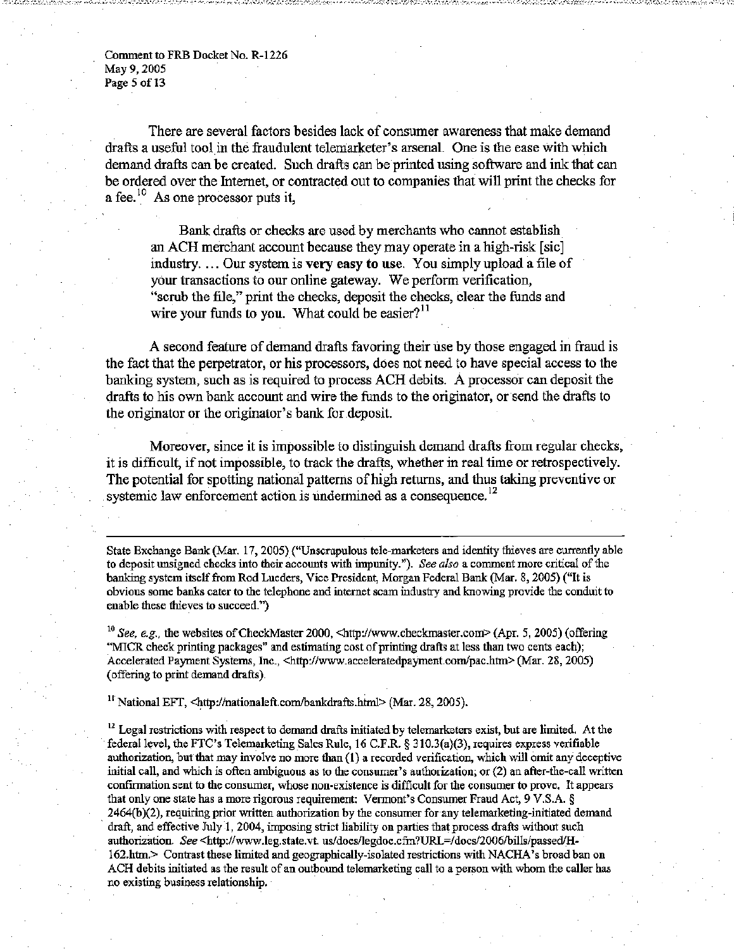Comment to FRB Docket No. R-1226 May 9, 2005 Page 5 of 13

There are several factors besides lack of consumer awareness that make demand drafts a useful tool in the fraudulent telemarketer's arsenal. One is the ease with which demand drafts can be created. Such drafts can be printed using software and ink that can be ordered over the Internet, or contracted out to companies that will print the checks for a fee.<sup>10</sup> As one processor puts it,

Bank drafts or checks are used by merchants who cannot establish an ACH merchant account because they may operate in a high-risk [sic] industry. ... Our system is very easy to **use.** You simply upload a file of your transactions to our online gateway. We perform verification, "scrub the file," print the checks, deposit the checks, clear the funds and wire your funds to you. What could be easier? $11$ 

A second feature of demand drafts favoring their use by those engaged in fraud is the fact that the perpetrator, or his processors, does not need to have special access to the banking system, such as is required to process ACH debits. A processor can deposit the drafts to his own bank account and wire the funds to the originator, or send the drafts to the originator or the originator's bank for deposit.

Moreover, since it is impossible to distinguish demand drafts from regular checks, it is difficult, if not impossible, to track the drafts, whether in real time or retrospectively. The potential for spotting national patterns of high returns, and thus taking preventive or systemic law enforcement action is undermined as a consequence.<sup>12</sup>

State Exchange Bank (Mar. 17, 2005) ("Unscrupulous tele-marketers and identity thieves are currently able to deposit unsigned checks into their accounts with impunity."). *See also* a comment more critical of the banking system itself from Rod Lueders, Vice President, Morgan Federal Bank (Mar. 8,2005) ("It is obvious some banks cater to the telephone and internet scam industry and knowing provide the conduit to enable these thieves to succeed.")

<sup>10</sup> See, e.g., the websites of CheckMaster 2000, <[http://www.checkmaster.com>](http://www.checkmaster.com) (Apr. 5, 2005) (offering "MICR check printing packages" and estimating cost of printing drafts at less than two cents each); Accelerated Payment Systems, Inc., <[http://www.acceleratedpayment.com/pac.htm>](http://www.acceleratedpayment.com/pac.htm) (Mar. 28, 2005) (offering to print demand drafts).

<sup>11</sup> National EFT, <http://nationaleft.com/bankdrafts.html> (Mar. 28, 2005).

 $<sup>12</sup>$  Legal restrictions with respect to demand drafts initiated by telemarketers exist, but are limited. At the</sup> federal level, the FTC's Telemarketing Sales Rule, 16 C.F.R. § 310.3(a)(3), requires express verifiable authorization, but that may involve no more than (1) a recorded verification, which will omit any deceptive initial call, and which is often ambiguous as to the consumer's authorization; or (2) an after-the-call written confirmation sent to the consumer, whose non-existence is difficult for the consumer to prove. It appears that only one state has a more rigorous requirement: Vermont's Consumer Fraud Act, 9 V.S.A. § 2464(b)(2), requiring prior written authorization by the consumer for any telemarketing-initiated demand draft, and effective July 1, 2004, imposing strict liability on parties that process drafts without such authorization. *See* <[http://www.leg.state.vt. us/docs/legdoc.cfm?URL=/docs/2006/bills/passed/H-](http://www.leg.state.vt.%20us/docs/legdoc.cfm?URL=/docs/2006/bills/passed/H-162.htm.)[162.htm.>](http://www.leg.state.vt.%20us/docs/legdoc.cfm?URL=/docs/2006/bills/passed/H-162.htm.) Contrast these limited and geographically-isolated restrictions with NACHA's broad ban on ACH debits initiated as the result of an outbound telemarketing call to a person with whom the caller has no existing business relationship.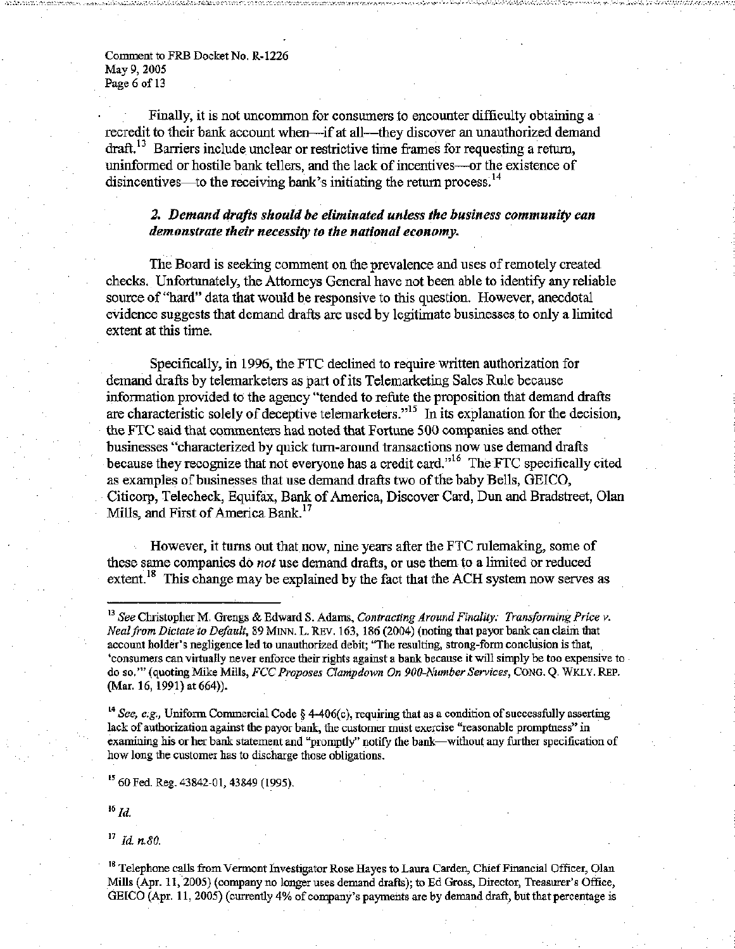Comment to FRB Docket No. R-1226 May 9, 2005 Page 6 of 13

Finally, it is not uncommon for consumers to encounter difficulty obtaining a recredit to their bank account when—if at all—they discover an unauthorized demand  $dr$  Barriers include unclear or restrictive time frames for requesting a return, uninformed or hostile bank tellers, and the lack of incentives—or the existence of disincentives—to the receiving bank's initiating the return process.<sup>14</sup>

# *2. Demand drafts should be eliminated unless the business community can demonstrate their necessity to the national economy.*

The Board is seeking comment on the prevalence and uses of remotely created checks. Unfortunately, the Attorneys General have not been able to identify any reliable source of "hard" data that would be responsive to this question. However, anecdotal evidence suggests that demand drafts are used by legitimate businesses to only a limited extent at this time.

Specifically, in 1996, the FTC declined to require written authorization for demand drafts by telemarketers as part of its Telemarketing Sales Rule because information provided to the agency "tended to refute the proposition that demand drafts are characteristic solely of deceptive telemarketers."<sup>15</sup> In its explanation for the decision, the FTC said that commenters had noted that Fortune 500 companies and other businesses "characterized by quick turn-around transactions now use demand drafts because they recognize that not everyone has a credit card."<sup>16</sup> The FTC specifically cited as examples of businesses that use demand drafts two of the baby Bells, GEICO, Citicorp, Telecheck, Equifax, Bank of America, Discover Card, Dun and Bradstreet, Olan Mills, and First of America Bank.<sup>17</sup>

However, it turns out that now, nine years after the FTC rulemaking, some of these same companies do *not* use demand drafts, or use them to a limited or reduced extent.<sup>18</sup> This change may be explained by the fact that the ACH system now serves as

<sup>14</sup> See, e.g., Uniform Commercial Code § 4-406(c), requiring that as a condition of successfully asserting lack of authorization against the payor bank, the customer must exercise "reasonable promptness" in examining his or her bank statement and "promptly" notify the bank—without any further specification of how long the customer has to discharge those obligations.

<sup>15</sup> 60 Fed. Reg. 43842-01, 43849 (1995).

 $^{16}$  *Id.* 

footnote <sup>1</sup> <sup>7</sup>  *Id. n.80.* 

<sup>18</sup> Telephone calls from Vermont Investigator Rose Hayes to Laura Carden, Chief Financial Officer, Olan Mills (Apr. 11, 2005) (company no longer uses demand drafts); to Ed Gross, Director, Treasurer's Office, GEICO (Apr. 11, 2005) (currently 4% of company's payments are by demand draft, but that percentage is

<sup>&</sup>lt;sup>13</sup> See Christopher M. Grengs & Edward S. Adams, *Contracting Around Finality: Transforming Price v. Neal from Dictate to Default,* 89 MINN. L. REV. 163, 186 (2004) (noting that payor bank can claim that account holder's negligence led to unauthorized debit; "The resulting, strong-form conclusion is that, 'consumers can virtually never enforce their rights against a bank because it will simply be too expensive to do so."' (quoting Mike Mills, *FCC Proposes Clampdown On 900-Number Services,* CONG. Q. WKLY. REP. (Mar. 16, 1991) at 664)).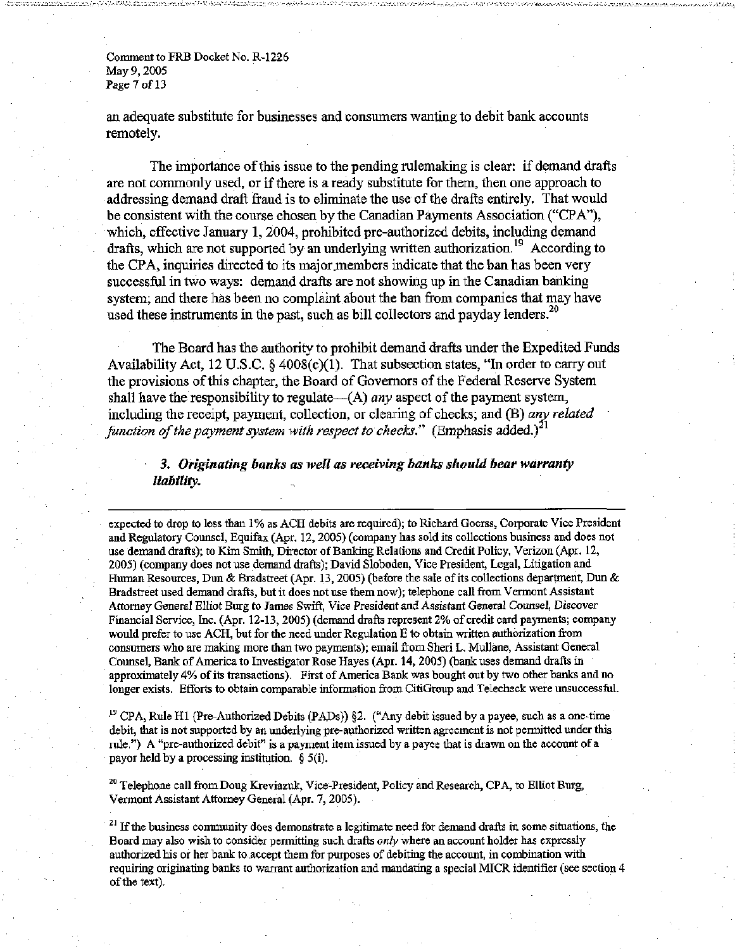Comment to FRB Docket No. R-1226 May 9, 2005 Page 7 of 13

an adequate substitute for businesses and consumers wanting to debit bank accounts remotely.

The importance of this issue to the pending rulemaking is clear: if demand drafts are not commonly used, or if there is a ready substitute for them, then one approach to addressing demand draft fraud is to eliminate the use of the drafts entirely. That would be consistent with the course chosen by the Canadian Payments Association ("CPA"), which, effective January *1,* 2004, prohibited pre-authorized debits, including demand drafts, which are not supported by an underlying written authorization.<sup>19</sup> According to the CPA, inquiries directed to its major members indicate that the ban has been very successful in two ways: demand drafts are not showing up in the Canadian banking system; and there has been no complaint about the ban from companies that may have used these instruments in the past, such as bill collectors and payday lenders.<sup>20</sup>

The Board has the authority to prohibit demand drafts under the Expedited Funds Availability Act, 12 U.S.C.  $\S$  4008(c)(1). That subsection states, "In order to carry out the provisions of this chapter, the Board of Governors of the Federal Reserve System shall have the responsibility to regulate—(A) *any* aspect of the payment system, including the receipt, payment, collection, or clearing of checks; and (B) *any related function of the payment system with respect to checks.*" (Emphasis added.)<sup>21</sup>

*3. Originating banks as well as receiving banks should bear warranty liability.* 

expected to drop to less than 1% as ACH debits are required); to Richard Goerss, Corporate Vice President and Regulatory Counsel, Equifax (Apr. 12, 2005) (company has sold its collections business and does not use demand drafts); to Kim Smith, Director of Banking Relations and Credit Policy, Verizon (Apr. 12, 2005) (company does not use demand drafts); David Sloboden, Vice President, Legal, Litigation and Human Resources, Dun & Bradstreet (Apr. 13, 2005) (before the sale of its collections department, Dun & Bradstreet used demand drafts, but it does not use them now); telephone call from Vermont Assistant Attorney General Elliot Burg to James Swift, Vice President and Assistant General Counsel, Discover Financial Service, Inc. (Apr. 12-13, 2005) (demand drafts represent 2% of credit card payments; company would prefer to use ACH, but for the need under Regulation E to obtain written authorization from consumers who are making more than two payments); email from Sheri L. Mullane, Assistant General Counsel, Bank of America to Investigator Rose Hayes (Apr. 14, 2005) (bank uses demand drafts in approximately 4% of its transactions). First of America Bank was bought out by two other banks and no longer exists. Efforts to obtain comparable information from CitiGroup and Telecheck were unsuccessful.

<sup>19</sup> CPA, Rule H1 (Pre-Authorized Debits (PADs)) §2. ("Any debit issued by a payee, such as a one-time debit, that is not supported by an underlying pre-authorized written agreement is not permitted under this rule.") A "pre-authorized debit" is a payment item issued by a payee that is drawn on the account of a payor held by a processing institution.  $\S$  5(i).

<sup>20</sup> Telephone call from Doug Kreviazuk, Vice-President, Policy and Research, CPA, to Elliot Burg, Vermont Assistant Attorney General (Apr. 7, 2005).

 $21$  If the business community does demonstrate a legitimate need for demand drafts in some situations, the Board may also wish to consider permitting such drafts *only* where an account holder has expressly authorized his or her bank to accept them for purposes of debiting the account, in combination with requiring originating banks to warrant authorization and mandating a special MICR identifier (see section 4 of the text).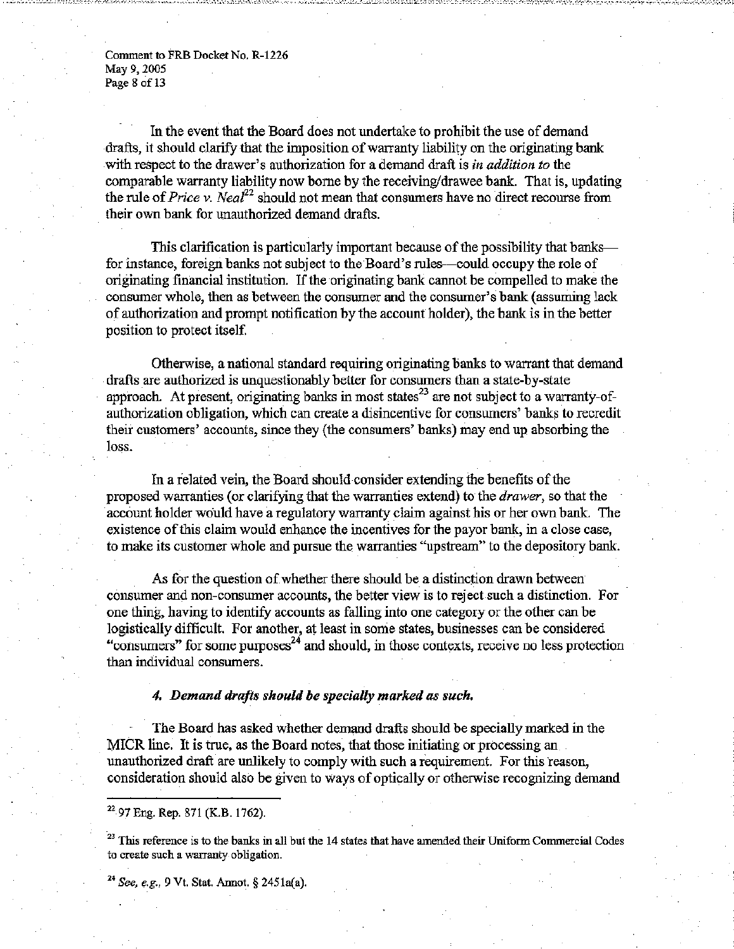Comment to FRB Docket No. R-1226 May 9, 2005 Page 8 of 13

In the event that the Board does not undertake to prohibit the use of demand drafts, it should clarify that the imposition of warranty liability on the originating bank with respect to the drawer's authorization for a demand draft is *in addition to* the comparable warranty liability now borne by the receiving/drawee bank. That is, updating the rule of *Price* v. *Neal*<sup>22</sup> should not mean that consumers have no direct recourse from their own bank for unauthorized demand drafts.

This clarification is particularly important because of the possibility that banks for instance, foreign banks not subject to the Board's rules—could occupy the role of originating financial institution. If the originating bank cannot be compelled to make the consumer whole, then as between the consumer and the consumer's bank (assuming lack of authorization and prompt notification by the account holder), the bank is in the better position to protect itself.

Otherwise, a national standard requiring originating banks to warrant that demand drafts are authorized is unquestionably better for consumers than a state-by-state approach. At present, originating banks in most states<sup>23</sup> are not subject to a warranty-ofauthorization obligation, which can create a disincentive for consumers' banks to recredit their customers' accounts, since they (the consumers' banks) may end up absorbing the loss.

In a related vein, the Board should consider extending the benefits of the proposed warranties (or clarifying that the warranties extend) to the *drawer,* so that the account holder would have a regulatory warranty claim against his or her own bank. The existence of this claim would enhance the incentives for the payor bank, in a close case, to make its customer whole and pursue the warranties "upstream" to the depository bank.

As for the question of whether there should be a distinction drawn between consumer and non-consumer accounts, the better view is to reject such a distinction. For one thing, having to identify accounts as falling into one category or the other can be logistically difficult. For another, at least in some states, businesses can be considered "consumers" for some purposes $^{24}$  and should, in those contexts, receive no less protection than individual consumers.

### *4. Demand drafts should be specially marked as such.*

The Board has asked whether demand drafts should be specially marked in the MICR line. It is true, as the Board notes, that those initiating or processing an unauthorized draft are unlikely to comply with such a requirement. For this reason, consideration should also be given to ways of optically or otherwise recognizing demand

24  *See, e.g., 9* Vt. Stat. Annot. § 2451a(a).

 $22$  97 Eng. Rep. 871 (K.B. 1762).

 $^{23}$  This reference is to the banks in all but the 14 states that have amended their Uniform Commercial Codes to create such a warranty obligation.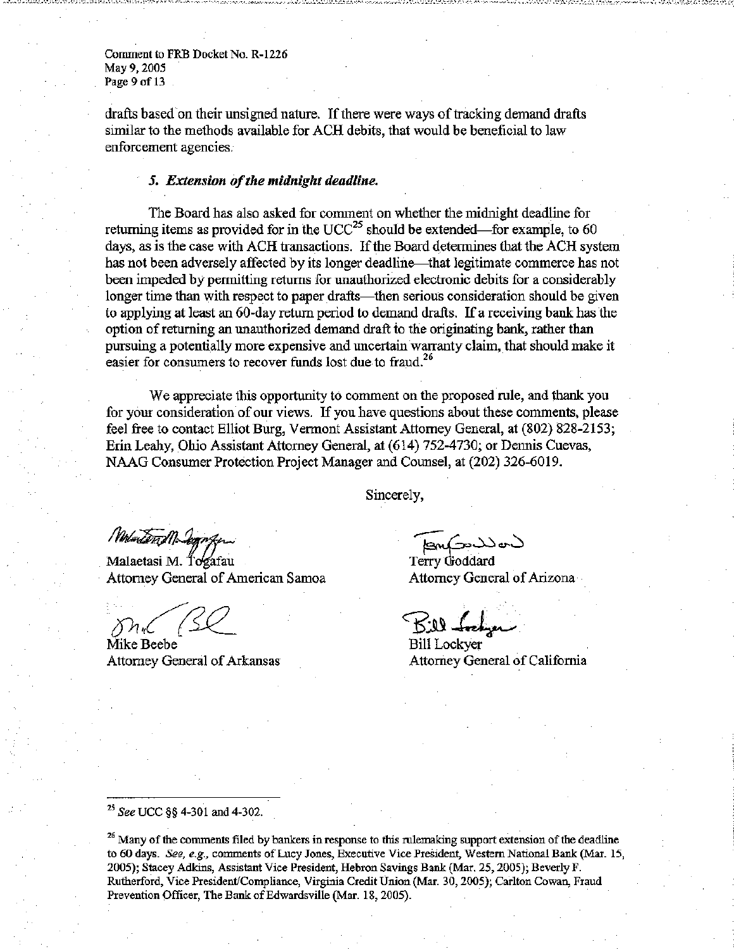Comment to FRB Docket No. R-1226 May 9, 2005 Page 9 of 13

drafts based on their unsigned nature. If there were ways of tracking demand drafts similar to the methods available for ACH debits, that would be beneficial to law enforcement agencies.

### **5.** *Extension of the midnight deadline.*

The Board has also asked for comment on whether the midnight deadline for returning items as provided for in the UCC<sup>25</sup> should be extended—for example, to 60 days, as is the case with ACH transactions. If the Board determines that the ACH system has not been adversely affected by its longer deadline—that legitimate commerce has not been impeded by permitting returns for unauthorized electronic debits for a considerably longer time than with respect to paper drafts—then serious consideration should be given to applying at least an 60-day return period to demand drafts. If a receiving bank has the option of returning an unauthorized demand draft to the originating bank, rather than pursuing a potentially more expensive and uncertain warranty claim, that should make it easier for consumers to recover funds lost due to fraud.<sup>26</sup>

We appreciate this opportunity to comment on the proposed rule, and thank you for your consideration of our views. If you have questions about these comments, please feel free to contact Elliot Burg, Vermont Assistant Attorney General, at (802) 828-2153; Erin Leahy, Ohio Assistant Attorney General, at (614) 752-4730; or Dennis Cuevas, NAAG Consumer Protection Project Manager and Counsel, at (202) 326-6019.

Sincerely,

Molutend Degre

Malaetasi M. Togafau Attorney General of American Samoa

 $\mathcal{D}n_{\mathcal{C}}$ 

Mike Beebe Attorney General of Arkansas

Terry Goddard

Attorney General of Arizona

Bill <del>Indy</del>er

Bill Lockyer Attorney General of California

<sup>25</sup> See UCC §§ 4-301 and 4-302.

<sup>26</sup> Many of the comments filed by bankers in response to this rulemaking support extension of the deadline to 60 days. *See, e.g.,* comments of Lucy Jones, Executive Vice President, Western National Bank (Mar. 15, 2005); Stacey Adkins, Assistant Vice President, Hebron Savings Bank (Mar. 25, 2005); Beverly F. Rutherford, Vice President/Compliance, Virginia Credit Union (Mar. 30, 2005); Carlton Cowan, Fraud Prevention Officer, The Bank of Edwardsville (Mar. 18, 2005).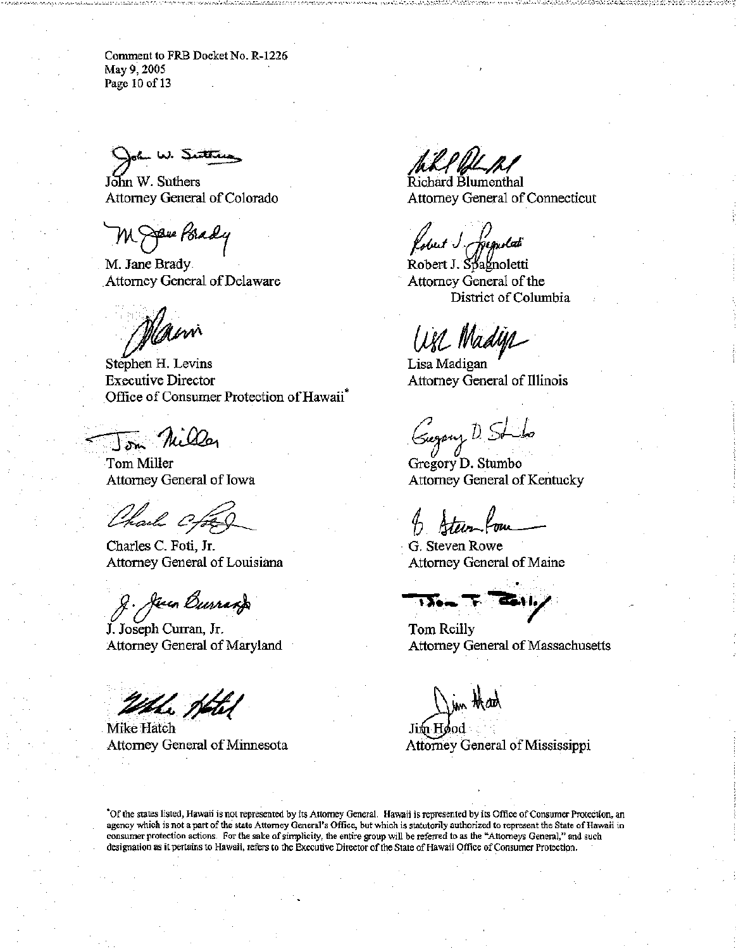Comment to FRB Docket No. R-1226 May 9, 2005 Page 10 of 13

ah W. Su<del>itei</del>

John W. Suthers Attorney General of Colorado

**Spie Psady** 

M. Jane Brady. Attorney General of Delaware

Main

Stephen H. Levins Executive Director Office of Consumer Protection of Hawaii

Miller  $15m$ 

Tom Miller Attorney General of Iowa

Charle Cfox

Charles C. Foti, Jr. Attorney General of Louisiana

g. Jeun Durrang

J. Joseph Curran, Jr. Attorney General of Maryland

Whe Hotel

Mike Hatch Attorney General of Minnesota

Richard Blumenthal Attorney General of Connecticut

obut I figuolati

Robert J. Spagnoletti Attorney General of the District of Columbia

are Madya

Lisa Madigan Attorney General of Illinois

(Sugary D. S

Gregory D. Stumbo Attorney General of Kentucky

G. Steven Rowe Attorney General of Maine

 $\overline{V}$ e $\sim$ 

Tom Reilly Attorney General of Massachusetts

Jim Hood Attorney General of Mississippi

"Of the states listed, Hawaii is not represented by its Attorney General. Hawaii is represented by its Office of Consumer Protection, an agency which is not a part of the state Attorney General's Office, but which is statutorily authorized to represent the State of Hawaii in consumer protection actions. For the sake of simplicity, the entire group will be referred to as the "Attorneys General," and such designation as it pertains to Hawaii, refers to the Executive Director of the State of Hawaii Office of Consumer Protection.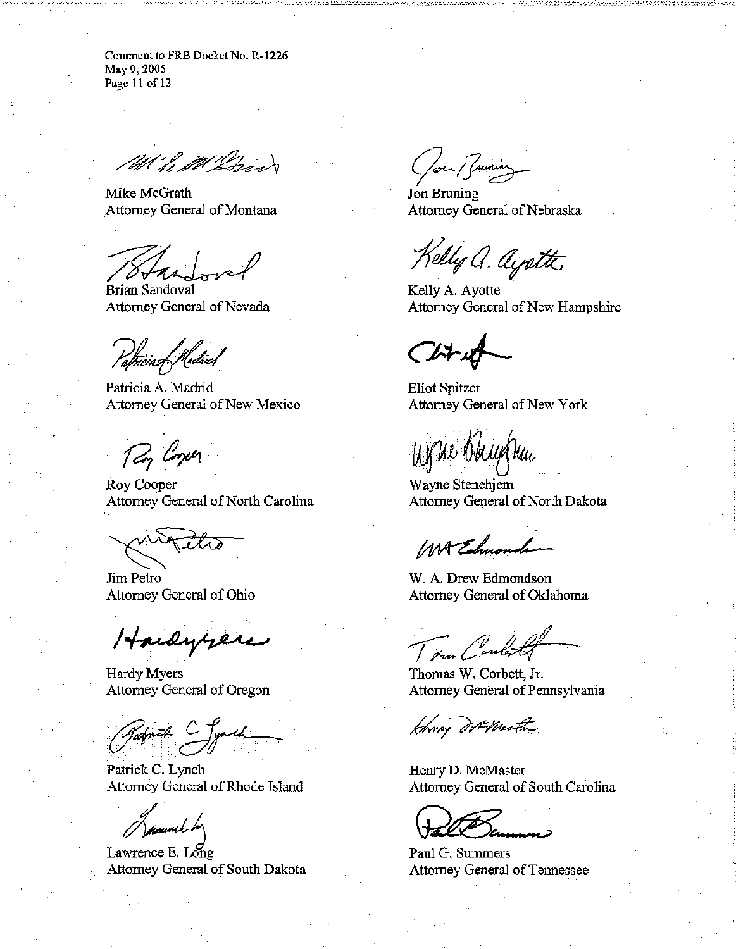Comment to FRB Docket No. R-1226 May 9, 2005 Page 11 of 13

P. M. Dos

Mike McGrath Attorney General of Montana

'8 A K h

Brian Sandoval Attorney General of Nevada

Papicia of Madriel

Patricia A. Madrid Attorney General of New Mexico

*Roy Cooper* 

Roy Cooper Attorney General of North Carolina

Jim Petro Attorney General of Ohio

Hardyrere

Hardy Myers Attorney General of Oregon

Patrick C. Jynch Row Horny Williams

Patrick C. Lynch Attorney General of Rhode Island

Lawrence E. Long Attorney General of South Dakota

**/** 

Jon Bruning Attorney General of Nebraska

Kelly a. ayotte

Kelly A. Ayotte Attorney General of New Hampshire

 $\epsilon$ 

Eliot Spitzer Attorney General of New York

Una Obrythu

Wayne Stenehjem Attorney General of North Dakota

WA Echuonder

W. A. Drew Edmondson Attorney General of Oklahoma

Thomas W. Corbett, Jr. Attorney General of Pennsylvania

Henry D. McMaster Attorney General of South Carolina

Paul G. Summers Attorney General of Tennessee